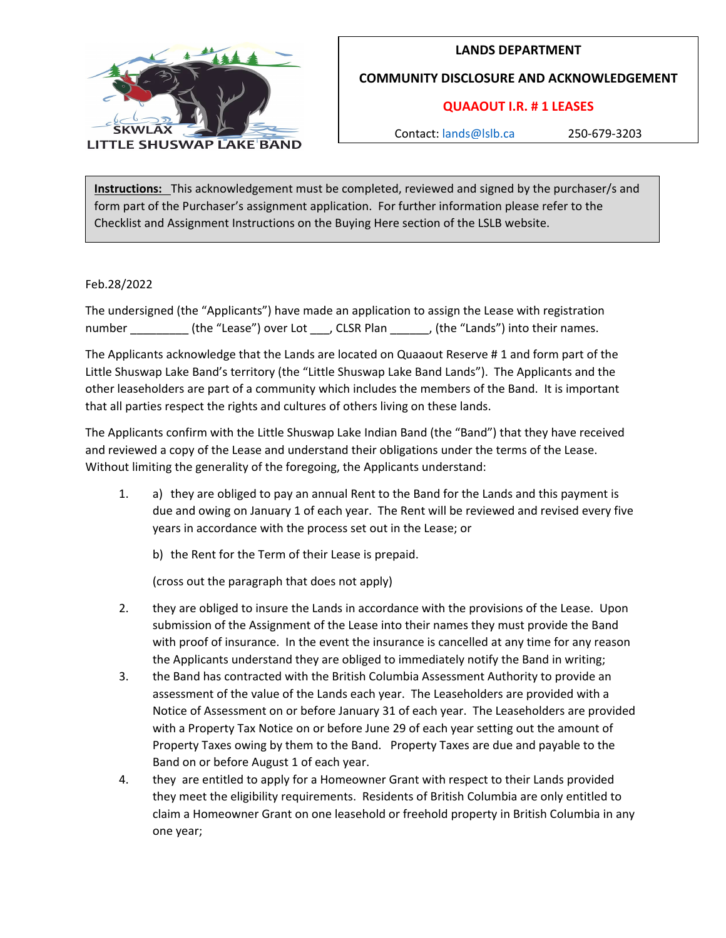

## **LANDS DEPARTMENT**

**COMMUNITY DISCLOSURE AND ACKNOWLEDGEMENT**

## **QUAAOUT I.R. # 1 LEASES**

Contact: [lands@lslb.ca](mailto:lands@lslb.ca) 250-679-3203

**Instructions:** This acknowledgement must be completed, reviewed and signed by the purchaser/s and form part of the Purchaser's assignment application. For further information please refer to the Checklist and Assignment Instructions on the Buying Here section of the LSLB website.

Feb.28/2022

The undersigned (the "Applicants") have made an application to assign the Lease with registration number \_\_\_\_\_\_\_\_\_ (the "Lease") over Lot \_\_\_, CLSR Plan \_\_\_\_\_\_, (the "Lands") into their names.

The Applicants acknowledge that the Lands are located on Quaaout Reserve # 1 and form part of the Little Shuswap Lake Band's territory (the "Little Shuswap Lake Band Lands"). The Applicants and the other leaseholders are part of a community which includes the members of the Band. It is important that all parties respect the rights and cultures of others living on these lands.

The Applicants confirm with the Little Shuswap Lake Indian Band (the "Band") that they have received and reviewed a copy of the Lease and understand their obligations under the terms of the Lease. Without limiting the generality of the foregoing, the Applicants understand:

1. a) they are obliged to pay an annual Rent to the Band for the Lands and this payment is due and owing on January 1 of each year. The Rent will be reviewed and revised every five years in accordance with the process set out in the Lease; or

b) the Rent for the Term of their Lease is prepaid.

(cross out the paragraph that does not apply)

- 2. they are obliged to insure the Lands in accordance with the provisions of the Lease. Upon submission of the Assignment of the Lease into their names they must provide the Band with proof of insurance. In the event the insurance is cancelled at any time for any reason the Applicants understand they are obliged to immediately notify the Band in writing;
- 3. the Band has contracted with the British Columbia Assessment Authority to provide an assessment of the value of the Lands each year. The Leaseholders are provided with a Notice of Assessment on or before January 31 of each year. The Leaseholders are provided with a Property Tax Notice on or before June 29 of each year setting out the amount of Property Taxes owing by them to the Band. Property Taxes are due and payable to the Band on or before August 1 of each year.
- 4. they are entitled to apply for a Homeowner Grant with respect to their Lands provided they meet the eligibility requirements. Residents of British Columbia are only entitled to claim a Homeowner Grant on one leasehold or freehold property in British Columbia in any one year;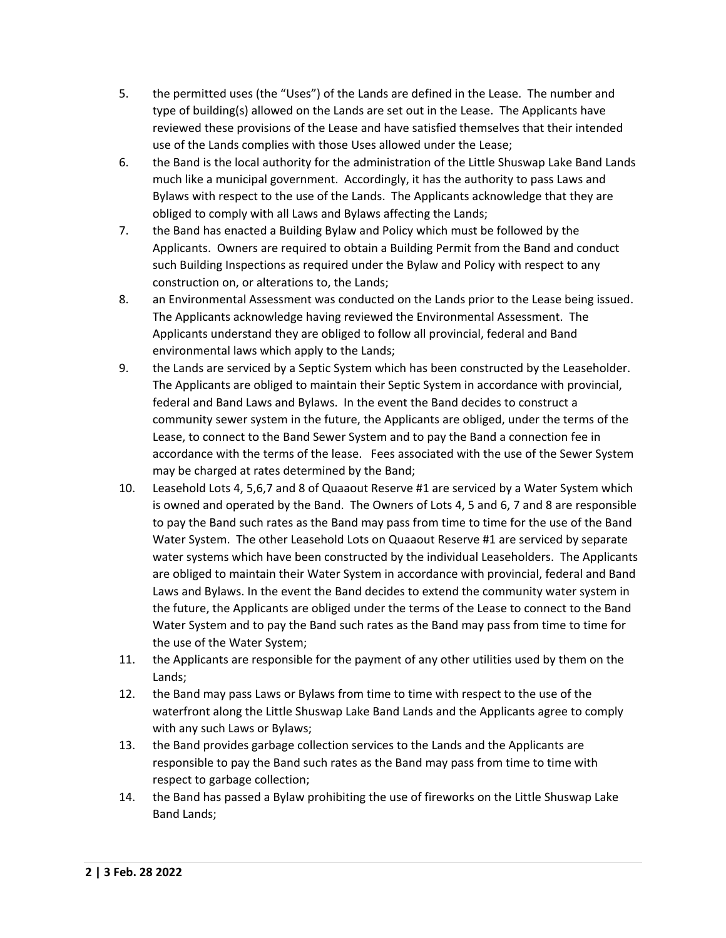- 5. the permitted uses (the "Uses") of the Lands are defined in the Lease. The number and type of building(s) allowed on the Lands are set out in the Lease. The Applicants have reviewed these provisions of the Lease and have satisfied themselves that their intended use of the Lands complies with those Uses allowed under the Lease;
- 6. the Band is the local authority for the administration of the Little Shuswap Lake Band Lands much like a municipal government. Accordingly, it has the authority to pass Laws and Bylaws with respect to the use of the Lands. The Applicants acknowledge that they are obliged to comply with all Laws and Bylaws affecting the Lands;
- 7. the Band has enacted a Building Bylaw and Policy which must be followed by the Applicants. Owners are required to obtain a Building Permit from the Band and conduct such Building Inspections as required under the Bylaw and Policy with respect to any construction on, or alterations to, the Lands;
- 8. an Environmental Assessment was conducted on the Lands prior to the Lease being issued. The Applicants acknowledge having reviewed the Environmental Assessment. The Applicants understand they are obliged to follow all provincial, federal and Band environmental laws which apply to the Lands;
- 9. the Lands are serviced by a Septic System which has been constructed by the Leaseholder. The Applicants are obliged to maintain their Septic System in accordance with provincial, federal and Band Laws and Bylaws. In the event the Band decides to construct a community sewer system in the future, the Applicants are obliged, under the terms of the Lease, to connect to the Band Sewer System and to pay the Band a connection fee in accordance with the terms of the lease. Fees associated with the use of the Sewer System may be charged at rates determined by the Band;
- 10. Leasehold Lots 4, 5,6,7 and 8 of Quaaout Reserve #1 are serviced by a Water System which is owned and operated by the Band. The Owners of Lots 4, 5 and 6, 7 and 8 are responsible to pay the Band such rates as the Band may pass from time to time for the use of the Band Water System. The other Leasehold Lots on Quaaout Reserve #1 are serviced by separate water systems which have been constructed by the individual Leaseholders. The Applicants are obliged to maintain their Water System in accordance with provincial, federal and Band Laws and Bylaws. In the event the Band decides to extend the community water system in the future, the Applicants are obliged under the terms of the Lease to connect to the Band Water System and to pay the Band such rates as the Band may pass from time to time for the use of the Water System;
- 11. the Applicants are responsible for the payment of any other utilities used by them on the Lands;
- 12. the Band may pass Laws or Bylaws from time to time with respect to the use of the waterfront along the Little Shuswap Lake Band Lands and the Applicants agree to comply with any such Laws or Bylaws;
- 13. the Band provides garbage collection services to the Lands and the Applicants are responsible to pay the Band such rates as the Band may pass from time to time with respect to garbage collection;
- 14. the Band has passed a Bylaw prohibiting the use of fireworks on the Little Shuswap Lake Band Lands;